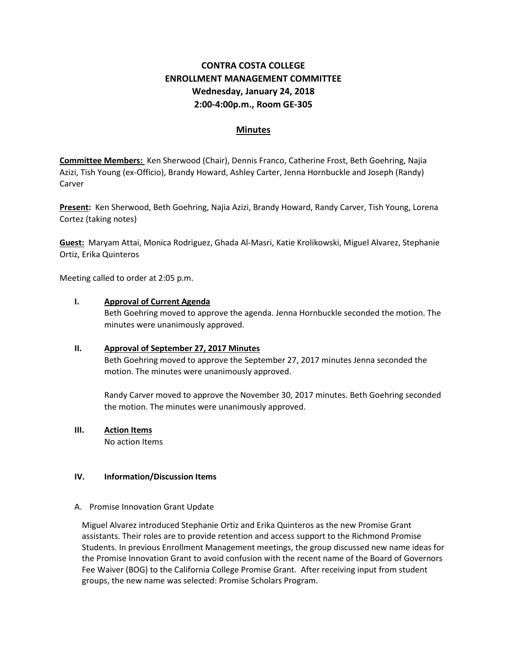# **CONTRA COSTA COLLEGE ENROLLMENT MANAGEMENT COMMITTEE Wednesday, January 24, 2018 2:00-4:00p.m., Room GE-305**

## **Minutes**

**Committee Members:** Ken Sherwood (Chair), Dennis Franco, Catherine Frost, Beth Goehring, Najia Azizi, Tish Young (ex-Officio), Brandy Howard, Ashley Carter, Jenna Hornbuckle and Joseph (Randy) Carver

**Present:** Ken Sherwood, Beth Goehring, Najia Azizi, Brandy Howard, Randy Carver, Tish Young, Lorena Cortez (taking notes)

**Guest:** Maryam Attai, Monica Rodriguez, Ghada Al-Masri, Katie Krolikowski, Miguel Alvarez, Stephanie Ortiz, Erika Quinteros

Meeting called to order at 2:05 p.m.

### **I. Approval of Current Agenda**

Beth Goehring moved to approve the agenda. Jenna Hornbuckle seconded the motion. The minutes were unanimously approved.

## **II. Approval of September 27, 2017 Minutes**

Beth Goehring moved to approve the September 27, 2017 minutes Jenna seconded the motion. The minutes were unanimously approved.

Randy Carver moved to approve the November 30, 2017 minutes. Beth Goehring seconded the motion. The minutes were unanimously approved.

## **III. Action Items**

No action Items

#### **IV. Information/Discussion Items**

#### A. Promise Innovation Grant Update

Miguel Alvarez introduced Stephanie Ortiz and Erika Quinteros as the new Promise Grant assistants. Their roles are to provide retention and access support to the Richmond Promise Students. In previous Enrollment Management meetings, the group discussed new name ideas for the Promise Innovation Grant to avoid confusion with the recent name of the Board of Governors Fee Waiver (BOG) to the California College Promise Grant. After receiving input from student groups, the new name was selected: Promise Scholars Program.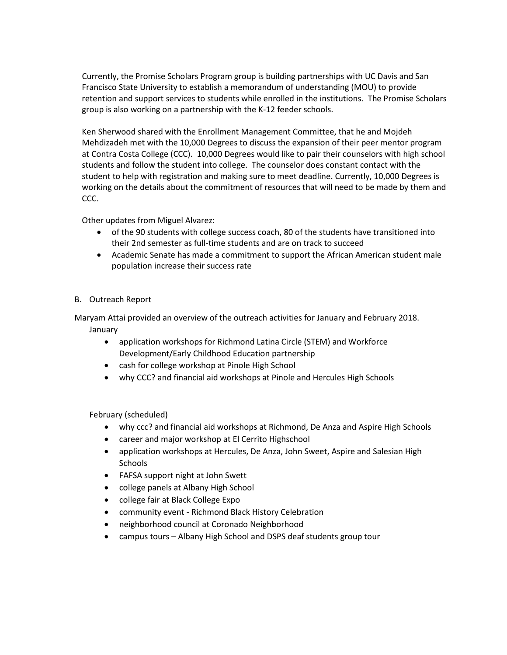Currently, the Promise Scholars Program group is building partnerships with UC Davis and San Francisco State University to establish a memorandum of understanding (MOU) to provide retention and support services to students while enrolled in the institutions. The Promise Scholars group is also working on a partnership with the K-12 feeder schools.

Ken Sherwood shared with the Enrollment Management Committee, that he and Mojdeh Mehdizadeh met with the 10,000 Degrees to discuss the expansion of their peer mentor program at Contra Costa College (CCC). 10,000 Degrees would like to pair their counselors with high school students and follow the student into college. The counselor does constant contact with the student to help with registration and making sure to meet deadline. Currently, 10,000 Degrees is working on the details about the commitment of resources that will need to be made by them and CCC.

Other updates from Miguel Alvarez:

- of the 90 students with college success coach, 80 of the students have transitioned into their 2nd semester as full-time students and are on track to succeed
- Academic Senate has made a commitment to support the African American student male population increase their success rate
- B. Outreach Report

Maryam Attai provided an overview of the outreach activities for January and February 2018. January

- application workshops for Richmond Latina Circle (STEM) and Workforce Development/Early Childhood Education partnership
- cash for college workshop at Pinole High School
- why CCC? and financial aid workshops at Pinole and Hercules High Schools

February (scheduled)

- why ccc? and financial aid workshops at Richmond, De Anza and Aspire High Schools
- career and major workshop at El Cerrito Highschool
- application workshops at Hercules, De Anza, John Sweet, Aspire and Salesian High **Schools**
- FAFSA support night at John Swett
- college panels at Albany High School
- college fair at Black College Expo
- community event Richmond Black History Celebration
- neighborhood council at Coronado Neighborhood
- campus tours Albany High School and DSPS deaf students group tour